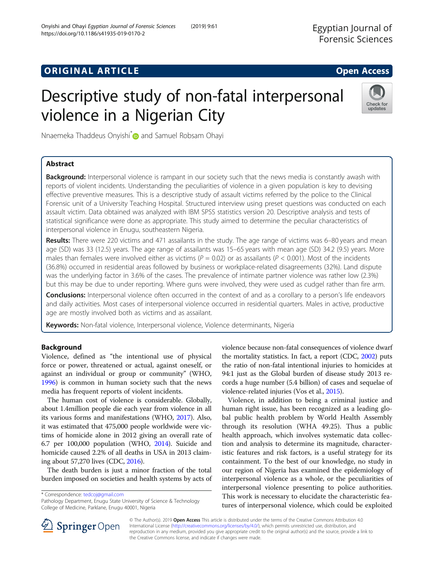Onyishi and Ohayi Egyptian Journal of Forensic Sciences (2019) 9:61

# **ORIGINAL ARTICLE CONSERVANCE IN A LOCAL CONSERVANCE IN A LOCAL CONSERVANCE IN A LOCAL CONSERVANCE IN A LOCAL CONS**

# Descriptive study of non-fatal interpersonal violence in a Nigerian City



Nnaemeka Thaddeus Onyishi<sup>\*</sup> and Samuel Robsam Ohavi

# Abstract

Background: Interpersonal violence is rampant in our society such that the news media is constantly awash with reports of violent incidents. Understanding the peculiarities of violence in a given population is key to devising effective preventive measures. This is a descriptive study of assault victims referred by the police to the Clinical Forensic unit of a University Teaching Hospital. Structured interview using preset questions was conducted on each assault victim. Data obtained was analyzed with IBM SPSS statistics version 20. Descriptive analysis and tests of statistical significance were done as appropriate. This study aimed to determine the peculiar characteristics of interpersonal violence in Enugu, southeastern Nigeria.

Results: There were 220 victims and 471 assailants in the study. The age range of victims was 6–80 years and mean age (SD) was 33 (12.5) years. The age range of assailants was 15–65 years with mean age (SD) 34.2 (9.5) years. More males than females were involved either as victims ( $P = 0.02$ ) or as assailants ( $P < 0.001$ ). Most of the incidents (36.8%) occurred in residential areas followed by business or workplace-related disagreements (32%). Land dispute was the underlying factor in 3.6% of the cases. The prevalence of intimate partner violence was rather low (2.3%) but this may be due to under reporting. Where guns were involved, they were used as cudgel rather than fire arm.

Conclusions: Interpersonal violence often occurred in the context of and as a corollary to a person's life endeavors and daily activities. Most cases of interpersonal violence occurred in residential quarters. Males in active, productive age are mostly involved both as victims and as assailant.

Keywords: Non-fatal violence, Interpersonal violence, Violence determinants, Nigeria

# Background

Violence, defined as "the intentional use of physical force or power, threatened or actual, against oneself, or against an individual or group or community" (WHO, [1996](#page-6-0)) is common in human society such that the news media has frequent reports of violent incidents.

The human cost of violence is considerable. Globally, about 1.4million people die each year from violence in all its various forms and manifestations (WHO, [2017\)](#page-6-0). Also, it was estimated that 475,000 people worldwide were victims of homicide alone in 2012 giving an overall rate of 6.7 per 100,000 population (WHO, [2014](#page-6-0)). Suicide and homicide caused 2.2% of all deaths in USA in 2013 claiming about 57,270 lives (CDC, [2016](#page-5-0)).

The death burden is just a minor fraction of the total burden imposed on societies and health systems by acts of

\* Correspondence: [tedcoj@gmail.com](mailto:tedcoj@gmail.com)

violence because non-fatal consequences of violence dwarf the mortality statistics. In fact, a report (CDC, [2002\)](#page-5-0) puts the ratio of non-fatal intentional injuries to homicides at 94:1 just as the Global burden of disease study 2013 records a huge number (5.4 billion) of cases and sequelae of violence-related injuries (Vos et al., [2015\)](#page-5-0).

Violence, in addition to being a criminal justice and human right issue, has been recognized as a leading global public health problem by World Health Assembly through its resolution (WHA 49.25). Thus a public health approach, which involves systematic data collection and analysis to determine its magnitude, characteristic features and risk factors, is a useful strategy for its containment. To the best of our knowledge, no study in our region of Nigeria has examined the epidemiology of interpersonal violence as a whole, or the peculiarities of interpersonal violence presenting to police authorities. This work is necessary to elucidate the characteristic features of interpersonal violence, which could be exploited



© The Author(s). 2019 Open Access This article is distributed under the terms of the Creative Commons Attribution 4.0 International License ([http://creativecommons.org/licenses/by/4.0/\)](http://creativecommons.org/licenses/by/4.0/), which permits unrestricted use, distribution, and reproduction in any medium, provided you give appropriate credit to the original author(s) and the source, provide a link to the Creative Commons license, and indicate if changes were made.

Pathology Department, Enugu State University of Science & Technology College of Medicine, Parklane, Enugu 40001, Nigeria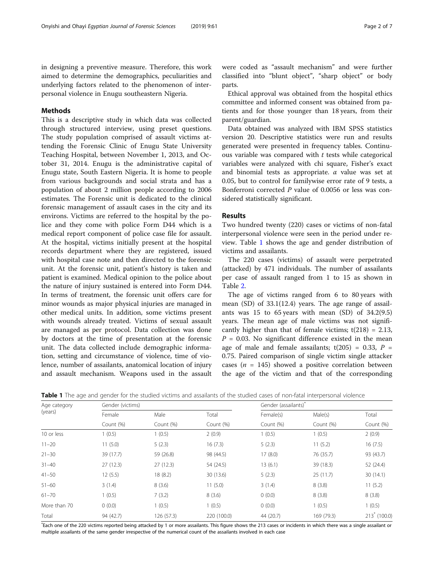in designing a preventive measure. Therefore, this work aimed to determine the demographics, peculiarities and underlying factors related to the phenomenon of interpersonal violence in Enugu southeastern Nigeria.

### Methods

This is a descriptive study in which data was collected through structured interview, using preset questions. The study population comprised of assault victims attending the Forensic Clinic of Enugu State University Teaching Hospital, between November 1, 2013, and October 31, 2014. Enugu is the administrative capital of Enugu state, South Eastern Nigeria. It is home to people from various backgrounds and social strata and has a population of about 2 million people according to 2006 estimates. The Forensic unit is dedicated to the clinical forensic management of assault cases in the city and its environs. Victims are referred to the hospital by the police and they come with police Form D44 which is a medical report component of police case file for assault. At the hospital, victims initially present at the hospital records department where they are registered, issued with hospital case note and then directed to the forensic unit. At the forensic unit, patient's history is taken and patient is examined. Medical opinion to the police about the nature of injury sustained is entered into Form D44. In terms of treatment, the forensic unit offers care for minor wounds as major physical injuries are managed in other medical units. In addition, some victims present with wounds already treated. Victims of sexual assault are managed as per protocol. Data collection was done by doctors at the time of presentation at the forensic unit. The data collected include demographic information, setting and circumstance of violence, time of violence, number of assailants, anatomical location of injury and assault mechanism. Weapons used in the assault were coded as "assault mechanism" and were further classified into "blunt object", "sharp object" or body parts.

Ethical approval was obtained from the hospital ethics committee and informed consent was obtained from patients and for those younger than 18 years, from their parent/guardian.

Data obtained was analyzed with IBM SPSS statistics version 20. Descriptive statistics were run and results generated were presented in frequency tables. Continuous variable was compared with  $t$  tests while categorical variables were analyzed with chi square, Fisher's exact and binomial tests as appropriate.  $\alpha$  value was set at 0.05, but to control for familywise error rate of 9 tests, a Bonferroni corrected  $P$  value of 0.0056 or less was considered statistically significant.

### Results

Two hundred twenty (220) cases or victims of non-fatal interpersonal violence were seen in the period under review. Table 1 shows the age and gender distribution of victims and assailants.

The 220 cases (victims) of assault were perpetrated (attacked) by 471 individuals. The number of assailants per case of assault ranged from 1 to 15 as shown in Table [2.](#page-2-0)

The age of victims ranged from 6 to 80 years with mean (SD) of 33.1(12.4) years. The age range of assailants was 15 to 65 years with mean  $(SD)$  of 34.2(9.5) years. The mean age of male victims was not significantly higher than that of female victims;  $t(218) = 2.13$ ,  $P = 0.03$ . No significant difference existed in the mean age of male and female assailants;  $t(205) = 0.33$ ,  $P =$ 0.75. Paired comparison of single victim single attacker cases ( $n = 145$ ) showed a positive correlation between the age of the victim and that of the corresponding

| Age category<br>(years) |                     | Gender (victims) |             |           | Gender (assailants) |                       |  |
|-------------------------|---------------------|------------------|-------------|-----------|---------------------|-----------------------|--|
|                         | Female<br>Count (%) | Male             | Total       | Female(s) | Male(s)             | Total                 |  |
|                         |                     | Count (%)        | Count (%)   | Count (%) | Count (%)           | Count (%)             |  |
| 10 or less              | 1(0.5)              | 1(0.5)           | 2(0.9)      | 1(0.5)    | 1(0.5)              | 2(0.9)                |  |
| $11 - 20$               | 11(5.0)             | 5(2.3)           | 16(7.3)     | 5(2.3)    | 11(5.2)             | 16(7.5)               |  |
| $21 - 30$               | 39 (17.7)           | 59 (26.8)        | 98 (44.5)   | 17(8.0)   | 76 (35.7)           | 93 (43.7)             |  |
| $31 - 40$               | 27(12.3)            | 27(12.3)         | 54 (24.5)   | 13(6.1)   | 39 (18.3)           | 52 (24.4)             |  |
| $41 - 50$               | 12(5.5)             | 18(8.2)          | 30 (13.6)   | 5(2.3)    | 25(11.7)            | 30(14.1)              |  |
| $51 - 60$               | 3(1.4)              | 8(3.6)           | 11(5.0)     | 3(1.4)    | 8(3.8)              | 11(5.2)               |  |
| $61 - 70$               | 1(0.5)              | 7(3.2)           | 8(3.6)      | 0(0.0)    | 8(3.8)              | 8(3.8)                |  |
| More than 70            | 0(0.0)              | 1(0.5)           | 1(0.5)      | 0(0.0)    | 1(0.5)              | 1(0.5)                |  |
| Total                   | 94 (42.7)           | 126 (57.3)       | 220 (100.0) | 44 (20.7) | 169 (79.3)          | $213^{\circ}$ (100.0) |  |

Table 1 The age and gender for the studied victims and assailants of the studied cases of non-fatal interpersonal violence

\*Each one of the 220 victims reported being attacked by 1 or more assailants. This figure shows the 213 cases or incidents in which there was a single assailant or multiple assailants of the same gender irrespective of the numerical count of the assailants involved in each case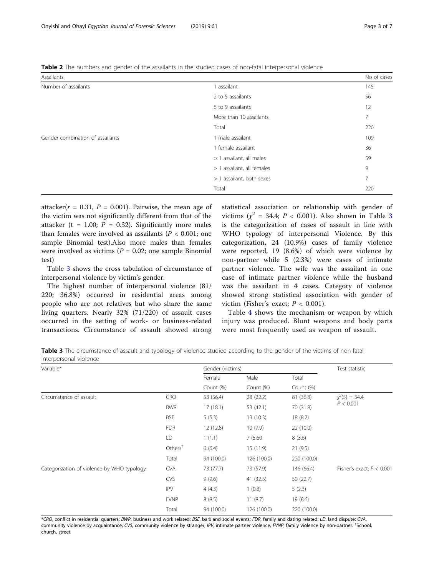<span id="page-2-0"></span>Table 2 The numbers and gender of the assailants in the studied cases of non-fatal interpersonal violence

| Assailants                       |                              | No of cases    |
|----------------------------------|------------------------------|----------------|
| Number of assailants             | assailant                    | 145            |
|                                  | 2 to 5 assailants            | 56             |
|                                  | 6 to 9 assailants            | 12             |
|                                  | More than 10 assailants      | 7              |
|                                  | Total                        | 220            |
| Gender combination of assailants | 1 male assailant             | 109            |
|                                  | 1 female assailant           | 36             |
|                                  | assailant, all males<br>>1   | 59             |
|                                  | assailant, all females<br>>1 | 9              |
|                                  | > 1 assailant, both sexes    | $\overline{7}$ |
|                                  | Total                        | 220            |

attacker( $r = 0.31$ ,  $P = 0.001$ ). Pairwise, the mean age of the victim was not significantly different from that of the attacker (t = 1.00;  $P = 0.32$ ). Significantly more males than females were involved as assailants ( $P < 0.001$ ; one sample Binomial test).Also more males than females were involved as victims ( $P = 0.02$ ; one sample Binomial test)

Table 3 shows the cross tabulation of circumstance of interpersonal violence by victim's gender.

The highest number of interpersonal violence (81/ 220; 36.8%) occurred in residential areas among people who are not relatives but who share the same living quarters. Nearly 32% (71/220) of assault cases occurred in the setting of work- or business-related transactions. Circumstance of assault showed strong

statistical association or relationship with gender of victims  $(x^2 = 34.4; P < 0.001)$ . Also shown in Table 3 is the categorization of cases of assault in line with WHO typology of interpersonal Violence. By this categorization, 24 (10.9%) cases of family violence were reported, 19 (8.6%) of which were violence by non-partner while 5 (2.3%) were cases of intimate partner violence. The wife was the assailant in one case of intimate partner violence while the husband was the assailant in 4 cases. Category of violence showed strong statistical association with gender of victim (Fisher's exact;  $P < 0.001$ ).

Table [4](#page-3-0) shows the mechanism or weapon by which injury was produced. Blunt weapons and body parts were most frequently used as weapon of assault.

Table 3 The circumstance of assault and typology of violence studied according to the gender of the victims of non-fatal interpersonal violence

| Variable*                                  |                    | Gender (victims) |             |             | Test statistic                  |  |
|--------------------------------------------|--------------------|------------------|-------------|-------------|---------------------------------|--|
|                                            |                    | Female           | Male        | Total       |                                 |  |
|                                            |                    | Count (%)        | Count (%)   | Count (%)   |                                 |  |
| Circumstance of assault                    | <b>CRQ</b>         | 53 (56.4)        | 28 (22.2)   | 81 (36.8)   | $\chi^2(5) = 34.4$<br>P < 0.001 |  |
|                                            | <b>BWR</b>         | 17(18.1)         | 53 (42.1)   | 70 (31.8)   |                                 |  |
|                                            | <b>BSE</b>         | 5(5.3)           | 13(10.3)    | 18(8.2)     |                                 |  |
|                                            | <b>FDR</b>         | 12(12.8)         | 10(7.9)     | 22(10.0)    |                                 |  |
|                                            | LD                 | 1(1.1)           | 7(5.60)     | 8(3.6)      |                                 |  |
|                                            | Other <sup>†</sup> | 6(6.4)           | 15(11.9)    | 21(9.5)     |                                 |  |
|                                            | Total              | 94 (100.0)       | 126 (100.0) | 220 (100.0) |                                 |  |
| Categorization of violence by WHO typology | <b>CVA</b>         | 73 (77.7)        | 73 (57.9)   | 146 (66.4)  | Fisher's exact; $P < 0.001$     |  |
|                                            | <b>CVS</b>         | 9(9.6)           | 41 (32.5)   | 50 (22.7)   |                                 |  |
|                                            | <b>IPV</b>         | 4(4.3)           | 1(0.8)      | 5(2.3)      |                                 |  |
|                                            | <b>FVNP</b>        | 8(8.5)           | 11(8.7)     | 19(8.6)     |                                 |  |
|                                            | Total              | 94 (100.0)       | 126 (100.0) | 220 (100.0) |                                 |  |

\*CRQ, conflict in residential quarters; BWR, business and work related; BSE, bars and social events; FDR, family and dating related; LD, land dispute; CVA, community violence by acquaintance; CVS, community violence by stranger; IPV, intimate partner violence; FVNP, family violence by non-partner. <sup>†</sup>School,<br>church, street church, street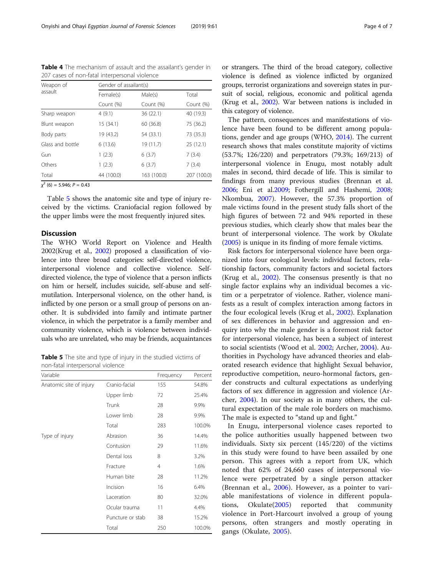| Weapon of        | Gender of assailant(s) |             |             |  |  |
|------------------|------------------------|-------------|-------------|--|--|
| assault          | Female(s)              | Male(s)     | Total       |  |  |
|                  | Count (%)              | Count (%)   | Count (%)   |  |  |
| Sharp weapon     | 4(9.1)                 | 36 (22.1)   | 40 (19.3)   |  |  |
| Blunt weapon     | 15 (34.1)              | 60 (36.8)   | 75 (36.2)   |  |  |
| Body parts       | 19 (43.2)              | 54 (33.1)   | 73 (35.3)   |  |  |
| Glass and bottle | 6(13.6)                | 19 (11.7)   | 25(12.1)    |  |  |
| Gun              | 1(2.3)                 | 6(3.7)      | 7(3.4)      |  |  |
| Others           | 1(2.3)                 | 6(3.7)      | 7(3.4)      |  |  |
| Total            | 44 (100.0)             | 163 (100.0) | 207 (100.0) |  |  |

<span id="page-3-0"></span>Table 4 The mechanism of assault and the assailant's gender in 207 cases of non-fatal interpersonal violence

 $\chi^2$  (6) = 5.946;  $P = 0.43$ 

Table 5 shows the anatomic site and type of injury received by the victims. Craniofacial region followed by the upper limbs were the most frequently injured sites.

### Discussion

The WHO World Report on Violence and Health 2002(Krug et al., [2002\)](#page-5-0) proposed a classification of violence into three broad categories: self-directed violence, interpersonal violence and collective violence. Selfdirected violence, the type of violence that a person inflicts on him or herself, includes suicide, self-abuse and selfmutilation. Interpersonal violence, on the other hand, is inflicted by one person or a small group of persons on another. It is subdivided into family and intimate partner violence, in which the perpetrator is a family member and community violence, which is violence between individuals who are unrelated, who may be friends, acquaintances

Table 5 The site and type of injury in the studied victims of non-fatal interpersonal violence

| Variable                |                  | Frequency      | Percent |
|-------------------------|------------------|----------------|---------|
| Anatomic site of injury | Cranio-facial    | 155            | 54.8%   |
|                         | Upper limb       | 72             | 25.4%   |
|                         | Trunk            | 28             | 9.9%    |
|                         | Lower limb       | 28             | 9.9%    |
|                         | Total            | 283            | 100.0%  |
| Type of injury          | Abrasion         | 36             | 14.4%   |
|                         | Contusion        | 29             | 11.6%   |
|                         | Dental loss      | 8              | 3.2%    |
|                         | Fracture         | $\overline{4}$ | 1.6%    |
|                         | Human bite       | 28             | 11.2%   |
|                         | Incision         | 16             | 6.4%    |
|                         | Laceration       | 80             | 32.0%   |
|                         | Ocular trauma    | 11             | 4.4%    |
|                         | Puncture or stab | 38             | 15.2%   |
|                         | Total            | 250            | 100.0%  |

or strangers. The third of the broad category, collective violence is defined as violence inflicted by organized groups, terrorist organizations and sovereign states in pursuit of social, religious, economic and political agenda (Krug et al., [2002](#page-5-0)). War between nations is included in this category of violence.

The pattern, consequences and manifestations of violence have been found to be different among populations, gender and age groups (WHO, [2014\)](#page-6-0). The current research shows that males constitute majority of victims (53.7%; 126/220) and perpetrators (79.3%; 169/213) of interpersonal violence in Enugu, most notably adult males in second, third decade of life. This is similar to findings from many previous studies (Brennan et al. [2006](#page-5-0); Eni et al[.2009;](#page-5-0) Fothergill and Hashemi, [2008](#page-5-0); Nkombua, [2007](#page-5-0)). However, the 57.3% proportion of male victims found in the present study falls short of the high figures of between 72 and 94% reported in these previous studies, which clearly show that males bear the brunt of interpersonal violence. The work by Okulate ([2005\)](#page-5-0) is unique in its finding of more female victims.

Risk factors for interpersonal violence have been organized into four ecological levels: individual factors, relationship factors, community factors and societal factors (Krug et al., [2002\)](#page-5-0). The consensus presently is that no single factor explains why an individual becomes a victim or a perpetrator of violence. Rather, violence manifests as a result of complex interaction among factors in the four ecological levels (Krug et al., [2002](#page-5-0)). Explanation of sex differences in behavior and aggression and enquiry into why the male gender is a foremost risk factor for interpersonal violence, has been a subject of interest to social scientists (Wood et al. [2002;](#page-6-0) Archer, [2004](#page-5-0)). Authorities in Psychology have advanced theories and elaborated research evidence that highlight Sexual behavior, reproductive competition, neuro-hormonal factors, gender constructs and cultural expectations as underlying factors of sex difference in aggression and violence (Archer, [2004\)](#page-5-0). In our society as in many others, the cultural expectation of the male role borders on machismo. The male is expected to "stand up and fight."

In Enugu, interpersonal violence cases reported to the police authorities usually happened between two individuals. Sixty six percent (145/220) of the victims in this study were found to have been assailed by one person. This agrees with a report from UK, which noted that 62% of 24,660 cases of interpersonal violence were perpetrated by a single person attacker (Brennan et al., [2006](#page-5-0)). However, as a pointer to variable manifestations of violence in different populations, Okulate([2005\)](#page-5-0) reported that community violence in Port-Harcourt involved a group of young persons, often strangers and mostly operating in gangs (Okulate, [2005\)](#page-5-0).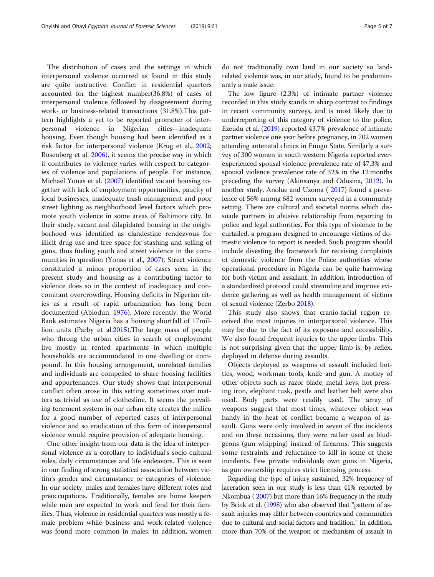The distribution of cases and the settings in which interpersonal violence occurred as found in this study are quite instructive. Conflict in residential quarters accounted for the highest number(36.8%) of cases of interpersonal violence followed by disagreement during work- or business-related transactions (31.8%).This pattern highlights a yet to be reported promoter of interpersonal violence in Nigerian cities—inadequate housing. Even though housing had been identified as a risk factor for interpersonal violence (Krug et al., [2002](#page-5-0); Rosenberg et al. [2006\)](#page-5-0), it seems the precise way in which it contributes to violence varies with respect to categories of violence and populations of people. For instance, Michael Yonas et al. ([2007](#page-6-0)) identified vacant housing together with lack of employment opportunities, paucity of local businesses, inadequate trash management and poor street lighting as neighborhood level factors which promote youth violence in some areas of Baltimore city. In their study, vacant and dilapidated housing in the neighborhood was identified as clandestine rendezvous for illicit drug use and free space for stashing and selling of guns, thus fueling youth and street violence in the com-munities in question (Yonas et al., [2007](#page-6-0)). Street violence constituted a minor proportion of cases seen in the present study and housing as a contributing factor to violence does so in the context of inadequacy and concomitant overcrowding. Housing deficits in Nigerian cities as a result of rapid urbanization has long been documented (Abiodun, [1976](#page-5-0)). More recently, the World Bank estimates Nigeria has a housing shortfall of 17million units (Parby et al.[2015\)](#page-5-0).The large mass of people who throng the urban cities in search of employment live mostly in rented apartments in which multiple households are accommodated in one dwelling or compound. In this housing arrangement, unrelated families and individuals are compelled to share housing facilities and appurtenances. Our study shows that interpersonal conflict often arose in this setting sometimes over matters as trivial as use of clothesline. It seems the prevailing tenement system in our urban city creates the milieu for a good number of reported cases of interpersonal violence and so eradication of this form of interpersonal violence would require provision of adequate housing.

One other insight from our data is the idea of interpersonal violence as a corollary to individual's socio-cultural roles, daily circumstances and life endeavors. This is seen in our finding of strong statistical association between victim's gender and circumstance or categories of violence. In our society, males and females have different roles and preoccupations. Traditionally, females are home keepers while men are expected to work and fend for their families. Thus, violence in residential quarters was mostly a female problem while business and work-related violence was found more common in males. In addition, women do not traditionally own land in our society so landrelated violence was, in our study, found to be predominantly a male issue.

The low figure (2.3%) of intimate partner violence recorded in this study stands in sharp contrast to findings in recent community surveys, and is most likely due to underreporting of this category of violence to the police. Ezeudu et al. ([2019\)](#page-5-0) reported 43.7% prevalence of intimate partner violence one year before pregnancy, in 702 women attending antenatal clinics in Enugu State. Similarly a survey of 300 women in south western Nigeria reported everexperienced spousal violence prevalence rate of 47.3% and spousal violence prevalence rate of 32% in the 12 months preceding the survey (Akinsanya and Odusina, [2012\)](#page-5-0). In another study, Anolue and Uzoma ( [2017\)](#page-5-0) found a prevalence of 56% among 682 women surveyed in a community setting. There are cultural and societal norms which dissuade partners in abusive relationship from reporting to police and legal authorities. For this type of violence to be curtailed, a program designed to encourage victims of domestic violence to report is needed. Such program should include divesting the framework for receiving complaints of domestic violence from the Police authorities whose operational procedure in Nigeria can be quite harrowing for both victim and assailant. In addition, introduction of a standardized protocol could streamline and improve evidence gathering as well as health management of victims of sexual violence (Zerbo [2018\)](#page-6-0).

This study also shows that cranio-facial region received the most injuries in interpersonal violence. This may be due to the fact of its exposure and accessibility. We also found frequent injuries to the upper limbs. This is not surprising given that the upper limb is, by reflex, deployed in defense during assaults.

Objects deployed as weapons of assault included bottles, wood, workman tools, knife and gun. A motley of other objects such as razor blade, metal keys, hot pressing iron, elephant tusk, pestle and leather belt were also used. Body parts were readily used. The array of weapons suggest that most times, whatever object was handy in the heat of conflict became a weapon of assault. Guns were only involved in seven of the incidents and on these occasions, they were rather used as bludgeons (gun whipping) instead of firearms. This suggests some restraints and reluctance to kill in some of these incidents. Few private individuals own guns in Nigeria, as gun ownership requires strict licensing process.

Regarding the type of injury sustained, 32% frequency of laceration seen in our study is less than 41% reported by Nkombua ( [2007](#page-5-0)) but more than 16% frequency in the study by Brink et al. [\(1998\)](#page-5-0) who also observed that "pattern of assault injuries may differ between countries and communities due to cultural and social factors and tradition." In addition, more than 70% of the weapon or mechanism of assault in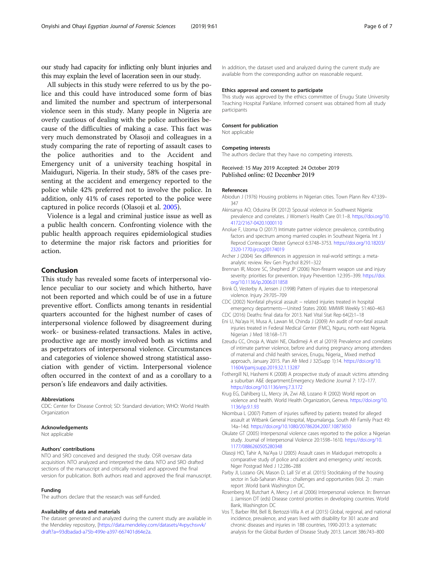<span id="page-5-0"></span>our study had capacity for inflicting only blunt injuries and this may explain the level of laceration seen in our study.

All subjects in this study were referred to us by the police and this could have introduced some form of bias and limited the number and spectrum of interpersonal violence seen in this study. Many people in Nigeria are overly cautious of dealing with the police authorities because of the difficulties of making a case. This fact was very much demonstrated by Olasoji and colleagues in a study comparing the rate of reporting of assault cases to the police authorities and to the Accident and Emergency unit of a university teaching hospital in Maiduguri, Nigeria. In their study, 58% of the cases presenting at the accident and emergency reported to the police while 42% preferred not to involve the police. In addition, only 41% of cases reported to the police were captured in police records (Olasoji et al. 2005).

Violence is a legal and criminal justice issue as well as a public health concern. Confronting violence with the public health approach requires epidemiological studies to determine the major risk factors and priorities for action.

## Conclusion

This study has revealed some facets of interpersonal violence peculiar to our society and which hitherto, have not been reported and which could be of use in a future preventive effort. Conflicts among tenants in residential quarters accounted for the highest number of cases of interpersonal violence followed by disagreement during work- or business-related transactions. Males in active, productive age are mostly involved both as victims and as perpetrators of interpersonal violence. Circumstances and categories of violence showed strong statistical association with gender of victim. Interpersonal violence often occurred in the context of and as a corollary to a person's life endeavors and daily activities.

#### Abbreviations

CDC: Center for Disease Control; SD: Standard deviation; WHO: World Health Organization

#### Acknowledgements

Not applicable

#### Authors' contributions

NTO and SRO conceived and designed the study. OSR oversaw data acquisition. NTO analyzed and interpreted the data. NTO and SRO drafted sections of the manuscript and critically revised and approved the final version for publication. Both authors read and approved the final manuscript.

#### Funding

The authors declare that the research was self-funded.

#### Availability of data and materials

The dataset generated and analyzed during the current study are available in the Mendeley repository, [[https://data.mendeley.com/datasets/4vpychsvvk/](https://data.mendeley.com/datasets/4vpychsvvk/draft?a=93dbadad-a75b-499e-a397-667401d64e2a) [draft?a=93dbadad-a75b-499e-a397-667401d64e2a.](https://data.mendeley.com/datasets/4vpychsvvk/draft?a=93dbadad-a75b-499e-a397-667401d64e2a)

In addition, the dataset used and analyzed during the current study are available from the corresponding author on reasonable request.

#### Ethics approval and consent to participate

This study was approved by the ethics committee of Enugu State University Teaching Hospital Parklane. Informed consent was obtained from all study participants

#### Consent for publication

Not applicable

#### Competing interests

The authors declare that they have no competing interests.

#### Received: 15 May 2019 Accepted: 24 October 2019 Published online: 02 December 2019

#### References

- Abiodun J (1976) Housing problems in Nigerian cities. Town Plann Rev 47:339– 347
- Akinsanya AO, Odusina EK (2012) Spousal violence in Southwest Nigeria: prevalence and correlates. J Women's Health Care 01:1–8. [https://doi.org/10.](https://doi.org/10.4172/2167-0420.1000110) [4172/2167-0420.1000110](https://doi.org/10.4172/2167-0420.1000110)
- Anolue F, Uzoma O (2017) Intimate partner violence: prevalence, contributing factors and spectrum among married couples in Southeast Nigeria. Int J Reprod Contracept Obstet Gynecol 6:3748–3753. [https://doi.org/10.18203/](https://doi.org/10.18203/2320-1770.ijrcog20174019) [2320-1770.ijrcog20174019](https://doi.org/10.18203/2320-1770.ijrcog20174019)
- Archer J (2004) Sex differences in aggression in real-world settings: a metaanalytic review. Rev Gen Psychol 8:291–322
- Brennan IR, Moore SC, Shepherd JP (2006) Non-firearm weapon use and injury severity: priorities for prevention. Injury Prevention 12:395–399. [https://doi.](https://doi.org/10.1136/ip.2006.011858) [org/10.1136/ip.2006.011858](https://doi.org/10.1136/ip.2006.011858)
- Brink O, Vesterby A, Jensen J (1998) Pattern of injuries due to interpersonal violence. Injury 29:705–709
- CDC (2002) Nonfatal physical assault − related injuries treated in hospital emergency departments—United States 2000. MMWR Weekly 51:460–463 CDC (2016) Deaths: final data for 2013. Natl Vital Stat Rep 64(2):1–18
- Eni U, Na'aya H, Musa A, Lawan M, Chinda J (2009) An audit of non-fatal assault injuries treated in Federal Medical Center (FMC), Nguru, north east Nigeria. Nigerian J Med 18:168–171
- Ezeudu CC, Onoja A, Waziri NE, Oladimeji A et al (2019) Prevalence and correlates of intimate partner violence, before and during pregnancy among attendees of maternal and child health services, Enugu, Nigeria\_ Mixed method approach, January 2015. Pan Afr Med J 32(Supp 1):14. [https://doi.org/10.](https://doi.org/10.11604/pamj.supp.2019.32.1.13287) [11604/pamj.supp.2019.32.1.13287](https://doi.org/10.11604/pamj.supp.2019.32.1.13287)
- Fothergill NJ, Hashemi K (2008) A prospective study of assault victims attending a suburban A&E department.Emergency Medicine Journal 7: 172–177. <https://doi.org/10.1136/emj.7.3.172>
- Krug EG, Dahlberg LL, Mercy JA, Zwi AB, Lozano R (2002) World report on violence and health. World Health Organization, Geneva. [https://doi.org/10.](https://doi.org/10.1136/ip.9.1.93) [1136/ip.9.1.93](https://doi.org/10.1136/ip.9.1.93)
- Nkombua L (2007) Pattern of injuries suffered by patients treated for alleged assault at Witbank General Hospital, Mpumalanga. South Afr Family Pract 49: 14a–14d. <https://doi.org/10.1080/20786204.2007.10873650>
- Okulate GT (2005) Interpersonal violence cases reported to the police: a Nigerian study. Journal of Interpersonal Violence 20:1598–1610. [https://doi.org/10.](https://doi.org/10.1177/0886260505280348) [1177/0886260505280348](https://doi.org/10.1177/0886260505280348)
- Olasoji HO, Tahir A, Na'Aya U (2005) Assault cases in Maiduguri metropolis: a comparative study of police and accident and emergency units' records. Niger Postgrad Med J 12:286–288
- Parby JI, Lozano GN, Mason D, Lall SV et al. (2015) Stocktaking of the housing sector in Sub-Saharan Africa : challenges and opportunities (Vol. 2) : main report .World bank Washington DC.
- Rosenberg M, Butchart A, Mercy J et al (2006) Interpersonal violence. In: Brennan J, Jamison DT (eds) Disease control priorities in developing countries. World Bank, Washington DC
- Vos T, Barber RM, Bell B, Bertozzi-Villa A et al (2015) Global, regional, and national incidence, prevalence, and years lived with disability for 301 acute and chronic diseases and injuries in 188 countries, 1990-2013: a systematic analysis for the Global Burden of Disease Study 2013. Lancet 386:743–800